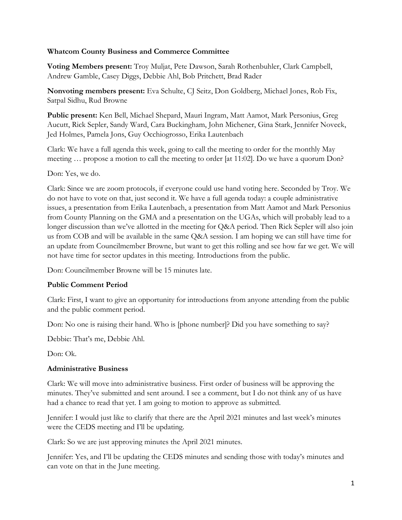#### **Whatcom County Business and Commerce Committee**

**Voting Members present:** Troy Muljat, Pete Dawson, Sarah Rothenbuhler, Clark Campbell, Andrew Gamble, Casey Diggs, Debbie Ahl, Bob Pritchett, Brad Rader

**Nonvoting members present:** Eva Schulte, CJ Seitz, Don Goldberg, Michael Jones, Rob Fix, Satpal Sidhu, Rud Browne

**Public present:** Ken Bell, Michael Shepard, Mauri Ingram, Matt Aamot, Mark Personius, Greg Aucutt, Rick Sepler, Sandy Ward, Cara Buckingham, John Michener, Gina Stark, Jennifer Noveck, Jed Holmes, Pamela Jons, Guy Occhiogrosso, Erika Lautenbach

Clark: We have a full agenda this week, going to call the meeting to order for the monthly May meeting … propose a motion to call the meeting to order [at 11:02]. Do we have a quorum Don?

Don: Yes, we do.

Clark: Since we are zoom protocols, if everyone could use hand voting here. Seconded by Troy. We do not have to vote on that, just second it. We have a full agenda today: a couple administrative issues, a presentation from Erika Lautenbach, a presentation from Matt Aamot and Mark Personius from County Planning on the GMA and a presentation on the UGAs, which will probably lead to a longer discussion than we've allotted in the meeting for Q&A period. Then Rick Sepler will also join us from COB and will be available in the same Q&A session. I am hoping we can still have time for an update from Councilmember Browne, but want to get this rolling and see how far we get. We will not have time for sector updates in this meeting. Introductions from the public.

Don: Councilmember Browne will be 15 minutes late.

## **Public Comment Period**

Clark: First, I want to give an opportunity for introductions from anyone attending from the public and the public comment period.

Don: No one is raising their hand. Who is [phone number]? Did you have something to say?

Debbie: That's me, Debbie Ahl.

Don: Ok.

## **Administrative Business**

Clark: We will move into administrative business. First order of business will be approving the minutes. They've submitted and sent around. I see a comment, but I do not think any of us have had a chance to read that yet. I am going to motion to approve as submitted.

Jennifer: I would just like to clarify that there are the April 2021 minutes and last week's minutes were the CEDS meeting and I'll be updating.

Clark: So we are just approving minutes the April 2021 minutes.

Jennifer: Yes, and I'll be updating the CEDS minutes and sending those with today's minutes and can vote on that in the June meeting.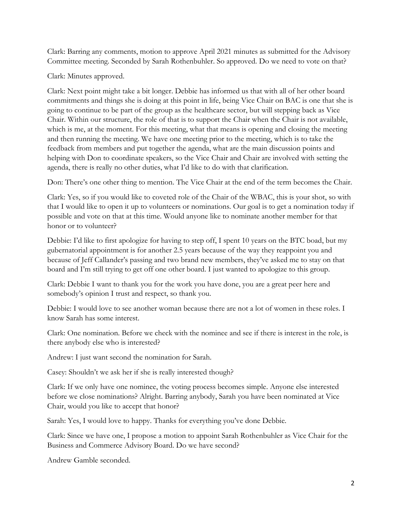Clark: Barring any comments, motion to approve April 2021 minutes as submitted for the Advisory Committee meeting. Seconded by Sarah Rothenbuhler. So approved. Do we need to vote on that?

Clark: Minutes approved.

Clark: Next point might take a bit longer. Debbie has informed us that with all of her other board commitments and things she is doing at this point in life, being Vice Chair on BAC is one that she is going to continue to be part of the group as the healthcare sector, but will stepping back as Vice Chair. Within our structure, the role of that is to support the Chair when the Chair is not available, which is me, at the moment. For this meeting, what that means is opening and closing the meeting and then running the meeting. We have one meeting prior to the meeting, which is to take the feedback from members and put together the agenda, what are the main discussion points and helping with Don to coordinate speakers, so the Vice Chair and Chair are involved with setting the agenda, there is really no other duties, what I'd like to do with that clarification.

Don: There's one other thing to mention. The Vice Chair at the end of the term becomes the Chair.

Clark: Yes, so if you would like to coveted role of the Chair of the WBAC, this is your shot, so with that I would like to open it up to volunteers or nominations. Our goal is to get a nomination today if possible and vote on that at this time. Would anyone like to nominate another member for that honor or to volunteer?

Debbie: I'd like to first apologize for having to step off, I spent 10 years on the BTC boad, but my gubernatorial appointment is for another 2.5 years because of the way they reappoint you and because of Jeff Callander's passing and two brand new members, they've asked me to stay on that board and I'm still trying to get off one other board. I just wanted to apologize to this group.

Clark: Debbie I want to thank you for the work you have done, you are a great peer here and somebody's opinion I trust and respect, so thank you.

Debbie: I would love to see another woman because there are not a lot of women in these roles. I know Sarah has some interest.

Clark: One nomination. Before we check with the nominee and see if there is interest in the role, is there anybody else who is interested?

Andrew: I just want second the nomination for Sarah.

Casey: Shouldn't we ask her if she is really interested though?

Clark: If we only have one nominee, the voting process becomes simple. Anyone else interested before we close nominations? Alright. Barring anybody, Sarah you have been nominated at Vice Chair, would you like to accept that honor?

Sarah: Yes, I would love to happy. Thanks for everything you've done Debbie.

Clark: Since we have one, I propose a motion to appoint Sarah Rothenbuhler as Vice Chair for the Business and Commerce Advisory Board. Do we have second?

Andrew Gamble seconded.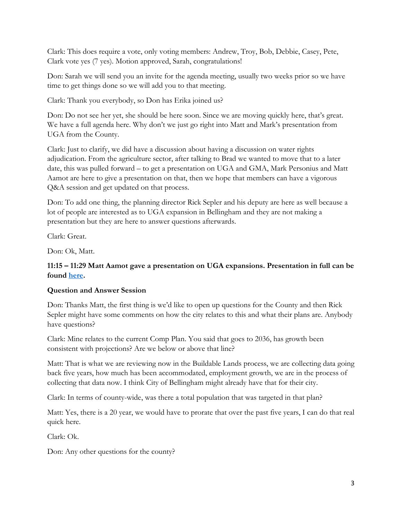Clark: This does require a vote, only voting members: Andrew, Troy, Bob, Debbie, Casey, Pete, Clark vote yes (7 yes). Motion approved, Sarah, congratulations!

Don: Sarah we will send you an invite for the agenda meeting, usually two weeks prior so we have time to get things done so we will add you to that meeting.

Clark: Thank you everybody, so Don has Erika joined us?

Don: Do not see her yet, she should be here soon. Since we are moving quickly here, that's great. We have a full agenda here. Why don't we just go right into Matt and Mark's presentation from UGA from the County.

Clark: Just to clarify, we did have a discussion about having a discussion on water rights adjudication. From the agriculture sector, after talking to Brad we wanted to move that to a later date, this was pulled forward – to get a presentation on UGA and GMA, Mark Personius and Matt Aamot are here to give a presentation on that, then we hope that members can have a vigorous Q&A session and get updated on that process.

Don: To add one thing, the planning director Rick Sepler and his deputy are here as well because a lot of people are interested as to UGA expansion in Bellingham and they are not making a presentation but they are here to answer questions afterwards.

Clark: Great.

Don: Ok, Matt.

## **11:15 – 11:29 Matt Aamot gave a presentation on UGA expansions. Presentation in full can be found [here.](https://www.portofbellingham.com/DocumentCenter/View/10098/Presentation-to-Business-Commerce-Committee-May-17-2021)**

#### **Question and Answer Session**

Don: Thanks Matt, the first thing is we'd like to open up questions for the County and then Rick Sepler might have some comments on how the city relates to this and what their plans are. Anybody have questions?

Clark: Mine relates to the current Comp Plan. You said that goes to 2036, has growth been consistent with projections? Are we below or above that line?

Matt: That is what we are reviewing now in the Buildable Lands process, we are collecting data going back five years, how much has been accommodated, employment growth, we are in the process of collecting that data now. I think City of Bellingham might already have that for their city.

Clark: In terms of county-wide, was there a total population that was targeted in that plan?

Matt: Yes, there is a 20 year, we would have to prorate that over the past five years, I can do that real quick here.

Clark: Ok.

Don: Any other questions for the county?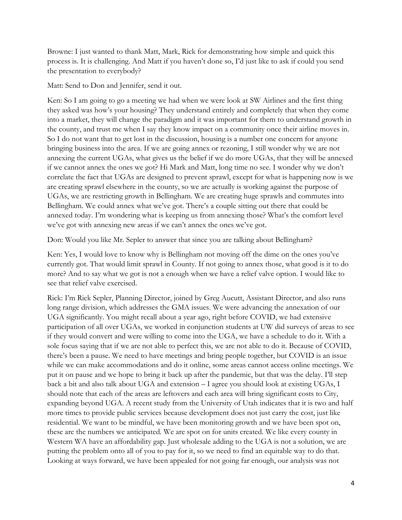Browne: I just wanted to thank Matt, Mark, Rick for demonstrating how simple and quick this process is. It is challenging. And Matt if you haven't done so, I'd just like to ask if could you send the presentation to everybody?

Matt: Send to Don and Jennifer, send it out.

Ken: So I am going to go a meeting we had when we were look at SW Airlines and the first thing they asked was how's your housing? They understand entirely and completely that when they come into a market, they will change the paradigm and it was important for them to understand growth in the county, and trust me when I say they know impact on a community once their airline moves in. So I do not want that to get lost in the discussion, housing is a number one concern for anyone bringing business into the area. If we are going annex or rezoning, I still wonder why we are not annexing the current UGAs, what gives us the belief if we do more UGAs, that they will be annexed if we cannot annex the ones we got? Hi Mark and Matt, long time no see. I wonder why we don't correlate the fact that UGAs are designed to prevent sprawl, except for what is happening now is we are creating sprawl elsewhere in the county, so we are actually is working against the purpose of UGAs, we are restricting growth in Bellingham. We are creating huge sprawls and commutes into Bellingham. We could annex what we've got. There's a couple sitting out there that could be annexed today. I'm wondering what is keeping us from annexing those? What's the comfort level we've got with annexing new areas if we can't annex the ones we've got.

Don: Would you like Mr. Sepler to answer that since you are talking about Bellingham?

Ken: Yes, I would love to know why is Bellingham not moving off the dime on the ones you've currently got. That would limit sprawl in County. If not going to annex those, what good is it to do more? And to say what we got is not a enough when we have a relief valve option. I would like to see that relief valve exercised.

Rick: I'm Rick Sepler, Planning Director, joined by Greg Aucutt, Assistant Director, and also runs long range division, which addresses the GMA issues. We were advancing the annexation of our UGA significantly. You might recall about a year ago, right before COVID, we had extensive participation of all over UGAs, we worked in conjunction students at UW did surveys of areas to see if they would convert and were willing to come into the UGA, we have a schedule to do it. With a sole focus saying that if we are not able to perfect this, we are not able to do it. Because of COVID, there's been a pause. We need to have meetings and bring people together, but COVID is an issue while we can make accommodations and do it online, some areas cannot access online meetings. We put it on pause and we hope to bring it back up after the pandemic, but that was the delay. I'll step back a bit and also talk about UGA and extension – I agree you should look at existing UGAs, I should note that each of the areas are leftovers and each area will bring significant costs to City, expanding beyond UGA. A recent study from the University of Utah indicates that it is two and half more times to provide public services because development does not just carry the cost, just like residential. We want to be mindful, we have been monitoring growth and we have been spot on, these are the numbers we anticipated. We are spot on for units created. We like every county in Western WA have an affordability gap. Just wholesale adding to the UGA is not a solution, we are putting the problem onto all of you to pay for it, so we need to find an equitable way to do that. Looking at ways forward, we have been appealed for not going far enough, our analysis was not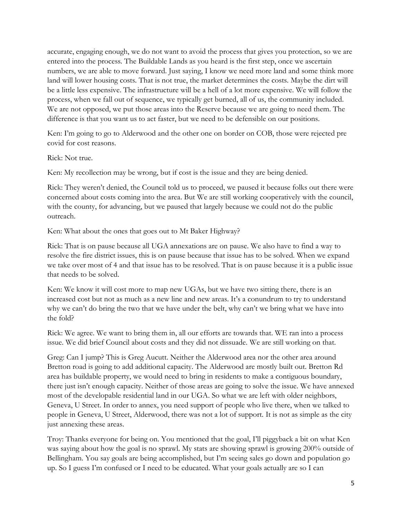accurate, engaging enough, we do not want to avoid the process that gives you protection, so we are entered into the process. The Buildable Lands as you heard is the first step, once we ascertain numbers, we are able to move forward. Just saying, I know we need more land and some think more land will lower housing costs. That is not true, the market determines the costs. Maybe the dirt will be a little less expensive. The infrastructure will be a hell of a lot more expensive. We will follow the process, when we fall out of sequence, we typically get burned, all of us, the community included. We are not opposed, we put those areas into the Reserve because we are going to need them. The difference is that you want us to act faster, but we need to be defensible on our positions.

Ken: I'm going to go to Alderwood and the other one on border on COB, those were rejected pre covid for cost reasons.

Rick: Not true.

Ken: My recollection may be wrong, but if cost is the issue and they are being denied.

Rick: They weren't denied, the Council told us to proceed, we paused it because folks out there were concerned about costs coming into the area. But We are still working cooperatively with the council, with the county, for advancing, but we paused that largely because we could not do the public outreach.

Ken: What about the ones that goes out to Mt Baker Highway?

Rick: That is on pause because all UGA annexations are on pause. We also have to find a way to resolve the fire district issues, this is on pause because that issue has to be solved. When we expand we take over most of 4 and that issue has to be resolved. That is on pause because it is a public issue that needs to be solved.

Ken: We know it will cost more to map new UGAs, but we have two sitting there, there is an increased cost but not as much as a new line and new areas. It's a conundrum to try to understand why we can't do bring the two that we have under the belt, why can't we bring what we have into the fold?

Rick: We agree. We want to bring them in, all our efforts are towards that. WE ran into a process issue. We did brief Council about costs and they did not dissuade. We are still working on that.

Greg: Can I jump? This is Greg Aucutt. Neither the Alderwood area nor the other area around Bretton road is going to add additional capacity. The Alderwood are mostly built out. Bretton Rd area has buildable property, we would need to bring in residents to make a contiguous boundary, there just isn't enough capacity. Neither of those areas are going to solve the issue. We have annexed most of the developable residential land in our UGA. So what we are left with older neighbors, Geneva, U Street. In order to annex, you need support of people who live there, when we talked to people in Geneva, U Street, Alderwood, there was not a lot of support. It is not as simple as the city just annexing these areas.

Troy: Thanks everyone for being on. You mentioned that the goal, I'll piggyback a bit on what Ken was saying about how the goal is no sprawl. My stats are showing sprawl is growing 200% outside of Bellingham. You say goals are being accomplished, but I'm seeing sales go down and population go up. So I guess I'm confused or I need to be educated. What your goals actually are so I can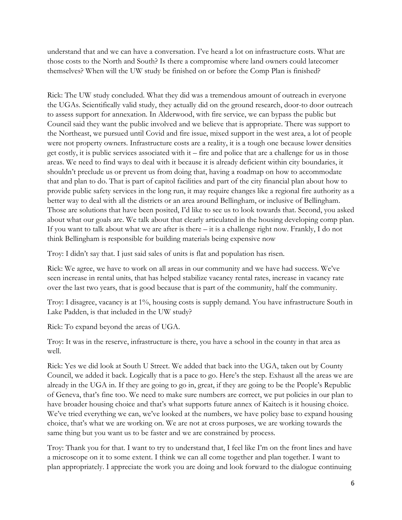understand that and we can have a conversation. I've heard a lot on infrastructure costs. What are those costs to the North and South? Is there a compromise where land owners could latecomer themselves? When will the UW study be finished on or before the Comp Plan is finished?

Rick: The UW study concluded. What they did was a tremendous amount of outreach in everyone the UGAs. Scientifically valid study, they actually did on the ground research, door-to door outreach to assess support for annexation. In Alderwood, with fire service, we can bypass the public but Council said they want the public involved and we believe that is appropriate. There was support to the Northeast, we pursued until Covid and fire issue, mixed support in the west area, a lot of people were not property owners. Infrastructure costs are a reality, it is a tough one because lower densities get costly, it is public services associated with it – fire and police that are a challenge for us in those areas. We need to find ways to deal with it because it is already deficient within city boundaries, it shouldn't preclude us or prevent us from doing that, having a roadmap on how to accommodate that and plan to do. That is part of capitol facilities and part of the city financial plan about how to provide public safety services in the long run, it may require changes like a regional fire authority as a better way to deal with all the districts or an area around Bellingham, or inclusive of Bellingham. Those are solutions that have been posited, I'd like to see us to look towards that. Second, you asked about what our goals are. We talk about that clearly articulated in the housing developing comp plan. If you want to talk about what we are after is there – it is a challenge right now. Frankly, I do not think Bellingham is responsible for building materials being expensive now

Troy: I didn't say that. I just said sales of units is flat and population has risen.

Rick: We agree, we have to work on all areas in our community and we have had success. We've seen increase in rental units, that has helped stabilize vacancy rental rates, increase in vacancy rate over the last two years, that is good because that is part of the community, half the community.

Troy: I disagree, vacancy is at 1%, housing costs is supply demand. You have infrastructure South in Lake Padden, is that included in the UW study?

Rick: To expand beyond the areas of UGA.

Troy: It was in the reserve, infrastructure is there, you have a school in the county in that area as well.

Rick: Yes we did look at South U Street. We added that back into the UGA, taken out by County Council, we added it back. Logically that is a pace to go. Here's the step. Exhaust all the areas we are already in the UGA in. If they are going to go in, great, if they are going to be the People's Republic of Geneva, that's fine too. We need to make sure numbers are correct, we put policies in our plan to have broader housing choice and that's what supports future annex of Kaitech is it housing choice. We've tried everything we can, we've looked at the numbers, we have policy base to expand housing choice, that's what we are working on. We are not at cross purposes, we are working towards the same thing but you want us to be faster and we are constrained by process.

Troy: Thank you for that. I want to try to understand that, I feel like I'm on the front lines and have a microscope on it to some extent. I think we can all come together and plan together. I want to plan appropriately. I appreciate the work you are doing and look forward to the dialogue continuing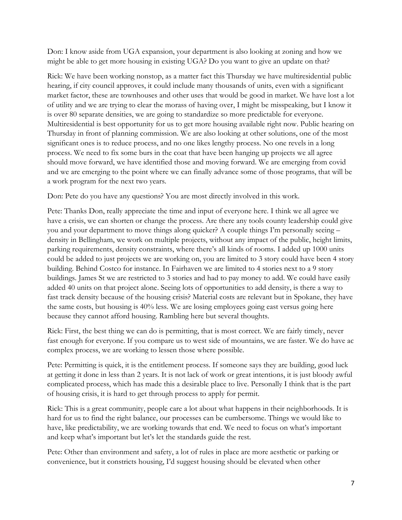Don: I know aside from UGA expansion, your department is also looking at zoning and how we might be able to get more housing in existing UGA? Do you want to give an update on that?

Rick: We have been working nonstop, as a matter fact this Thursday we have multiresidential public hearing, if city council approves, it could include many thousands of units, even with a significant market factor, these are townhouses and other uses that would be good in market. We have lost a lot of utility and we are trying to clear the morass of having over, I might be misspeaking, but I know it is over 80 separate densities, we are going to standardize so more predictable for everyone. Multiresidential is best opportunity for us to get more housing available right now. Public hearing on Thursday in front of planning commission. We are also looking at other solutions, one of the most significant ones is to reduce process, and no one likes lengthy process. No one revels in a long process. We need to fix some burs in the coat that have been hanging up projects we all agree should move forward, we have identified those and moving forward. We are emerging from covid and we are emerging to the point where we can finally advance some of those programs, that will be a work program for the next two years.

Don: Pete do you have any questions? You are most directly involved in this work.

Pete: Thanks Don, really appreciate the time and input of everyone here. I think we all agree we have a crisis, we can shorten or change the process. Are there any tools county leadership could give you and your department to move things along quicker? A couple things I'm personally seeing – density in Bellingham, we work on multiple projects, without any impact of the public, height limits, parking requirements, density constraints, where there's all kinds of rooms. I added up 1000 units could be added to just projects we are working on, you are limited to 3 story could have been 4 story building. Behind Costco for instance. In Fairhaven we are limited to 4 stories next to a 9 story buildings. James St we are restricted to 3 stories and had to pay money to add. We could have easily added 40 units on that project alone. Seeing lots of opportunities to add density, is there a way to fast track density because of the housing crisis? Material costs are relevant but in Spokane, they have the same costs, but housing is 40% less. We are losing employees going east versus going here because they cannot afford housing. Rambling here but several thoughts.

Rick: First, the best thing we can do is permitting, that is most correct. We are fairly timely, never fast enough for everyone. If you compare us to west side of mountains, we are faster. We do have ac complex process, we are working to lessen those where possible.

Pete: Permitting is quick, it is the entitlement process. If someone says they are building, good luck at getting it done in less than 2 years. It is not lack of work or great intentions, it is just bloody awful complicated process, which has made this a desirable place to live. Personally I think that is the part of housing crisis, it is hard to get through process to apply for permit.

Rick: This is a great community, people care a lot about what happens in their neighborhoods. It is hard for us to find the right balance, our processes can be cumbersome. Things we would like to have, like predictability, we are working towards that end. We need to focus on what's important and keep what's important but let's let the standards guide the rest.

Pete: Other than environment and safety, a lot of rules in place are more aesthetic or parking or convenience, but it constricts housing, I'd suggest housing should be elevated when other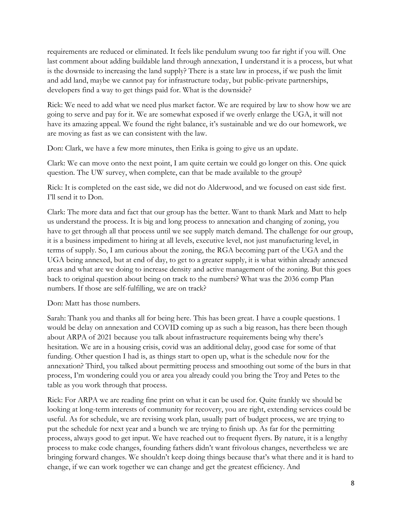requirements are reduced or eliminated. It feels like pendulum swung too far right if you will. One last comment about adding buildable land through annexation, I understand it is a process, but what is the downside to increasing the land supply? There is a state law in process, if we push the limit and add land, maybe we cannot pay for infrastructure today, but public-private partnerships, developers find a way to get things paid for. What is the downside?

Rick: We need to add what we need plus market factor. We are required by law to show how we are going to serve and pay for it. We are somewhat exposed if we overly enlarge the UGA, it will not have its amazing appeal. We found the right balance, it's sustainable and we do our homework, we are moving as fast as we can consistent with the law.

Don: Clark, we have a few more minutes, then Erika is going to give us an update.

Clark: We can move onto the next point, I am quite certain we could go longer on this. One quick question. The UW survey, when complete, can that be made available to the group?

Rick: It is completed on the east side, we did not do Alderwood, and we focused on east side first. I'll send it to Don.

Clark: The more data and fact that our group has the better. Want to thank Mark and Matt to help us understand the process. It is big and long process to annexation and changing of zoning, you have to get through all that process until we see supply match demand. The challenge for our group, it is a business impediment to hiring at all levels, executive level, not just manufacturing level, in terms of supply. So, I am curious about the zoning, the RGA becoming part of the UGA and the UGA being annexed, but at end of day, to get to a greater supply, it is what within already annexed areas and what are we doing to increase density and active management of the zoning. But this goes back to original question about being on track to the numbers? What was the 2036 comp Plan numbers. If those are self-fulfilling, we are on track?

Don: Matt has those numbers.

Sarah: Thank you and thanks all for being here. This has been great. I have a couple questions. 1 would be delay on annexation and COVID coming up as such a big reason, has there been though about ARPA of 2021 because you talk about infrastructure requirements being why there's hesitation. We are in a housing crisis, covid was an additional delay, good case for some of that funding. Other question I had is, as things start to open up, what is the schedule now for the annexation? Third, you talked about permitting process and smoothing out some of the burs in that process, I'm wondering could you or area you already could you bring the Troy and Petes to the table as you work through that process.

Rick: For ARPA we are reading fine print on what it can be used for. Quite frankly we should be looking at long-term interests of community for recovery, you are right, extending services could be useful. As for schedule, we are revising work plan, usually part of budget process, we are trying to put the schedule for next year and a bunch we are trying to finish up. As far for the permitting process, always good to get input. We have reached out to frequent flyers. By nature, it is a lengthy process to make code changes, founding fathers didn't want frivolous changes, nevertheless we are bringing forward changes. We shouldn't keep doing things because that's what there and it is hard to change, if we can work together we can change and get the greatest efficiency. And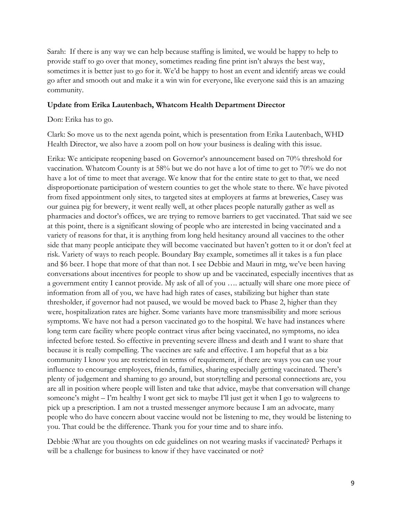Sarah: If there is any way we can help because staffing is limited, we would be happy to help to provide staff to go over that money, sometimes reading fine print isn't always the best way, sometimes it is better just to go for it. We'd be happy to host an event and identify areas we could go after and smooth out and make it a win win for everyone, like everyone said this is an amazing community.

#### **Update from Erika Lautenbach, Whatcom Health Department Director**

Don: Erika has to go.

Clark: So move us to the next agenda point, which is presentation from Erika Lautenbach, WHD Health Director, we also have a zoom poll on how your business is dealing with this issue.

Erika: We anticipate reopening based on Governor's announcement based on 70% threshold for vaccination. Whatcom County is at 58% but we do not have a lot of time to get to 70% we do not have a lot of time to meet that average. We know that for the entire state to get to that, we need disproportionate participation of western counties to get the whole state to there. We have pivoted from fixed appointment only sites, to targeted sites at employers at farms at breweries, Casey was our guinea pig for brewery, it went really well, at other places people naturally gather as well as pharmacies and doctor's offices, we are trying to remove barriers to get vaccinated. That said we see at this point, there is a significant slowing of people who are interested in being vaccinated and a variety of reasons for that, it is anything from long held hesitancy around all vaccines to the other side that many people anticipate they will become vaccinated but haven't gotten to it or don't feel at risk. Variety of ways to reach people. Boundary Bay example, sometimes all it takes is a fun place and \$6 beer. I hope that more of that than not. I see Debbie and Mauri in mtg, we've been having conversations about incentives for people to show up and be vaccinated, especially incentives that as a government entity I cannot provide. My ask of all of you …. actually will share one more piece of information from all of you, we have had high rates of cases, stabilizing but higher than state thresholder, if governor had not paused, we would be moved back to Phase 2, higher than they were, hospitalization rates are higher. Some variants have more transmissibility and more serious symptoms. We have not had a person vaccinated go to the hospital. We have had instances where long term care facility where people contract virus after being vaccinated, no symptoms, no idea infected before tested. So effective in preventing severe illness and death and I want to share that because it is really compelling. The vaccines are safe and effective. I am hopeful that as a biz community I know you are restricted in terms of requirement, if there are ways you can use your influence to encourage employees, friends, families, sharing especially getting vaccinated. There's plenty of judgement and shaming to go around, but storytelling and personal connections are, you are all in position where people will listen and take that advice, maybe that conversation will change someone's might – I'm healthy I wont get sick to maybe I'll just get it when I go to walgreens to pick up a prescription. I am not a trusted messenger anymore because I am an advocate, many people who do have concern about vaccine would not be listening to me, they would be listening to you. That could be the difference. Thank you for your time and to share info.

Debbie :What are you thoughts on cdc guidelines on not wearing masks if vaccinated? Perhaps it will be a challenge for business to know if they have vaccinated or not?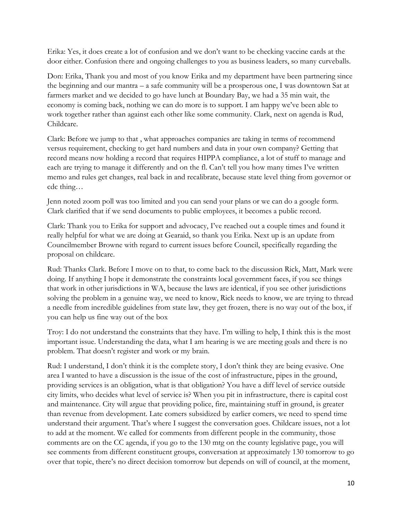Erika: Yes, it does create a lot of confusion and we don't want to be checking vaccine cards at the door either. Confusion there and ongoing challenges to you as business leaders, so many curveballs.

Don: Erika, Thank you and most of you know Erika and my department have been partnering since the beginning and our mantra – a safe community will be a prosperous one, I was downtown Sat at farmers market and we decided to go have lunch at Boundary Bay, we had a 35 min wait, the economy is coming back, nothing we can do more is to support. I am happy we've been able to work together rather than against each other like some community. Clark, next on agenda is Rud, Childcare.

Clark: Before we jump to that , what approaches companies are taking in terms of recommend versus requirement, checking to get hard numbers and data in your own company? Getting that record means now holding a record that requires HIPPA compliance, a lot of stuff to manage and each are trying to manage it differently and on the fl. Can't tell you how many times I've written memo and rules get changes, real back in and recalibrate, because state level thing from governor or cdc thing…

Jenn noted zoom poll was too limited and you can send your plans or we can do a google form. Clark clarified that if we send documents to public employees, it becomes a public record.

Clark: Thank you to Erika for support and advocacy, I've reached out a couple times and found it really helpful for what we are doing at Gearaid, so thank you Erika. Next up is an update from Councilmember Browne with regard to current issues before Council, specifically regarding the proposal on childcare.

Rud: Thanks Clark. Before I move on to that, to come back to the discussion Rick, Matt, Mark were doing. If anything I hope it demonstrate the constraints local government faces, if you see things that work in other jurisdictions in WA, because the laws are identical, if you see other jurisdictions solving the problem in a genuine way, we need to know, Rick needs to know, we are trying to thread a needle from incredible guidelines from state law, they get frozen, there is no way out of the box, if you can help us fine way out of the box

Troy: I do not understand the constraints that they have. I'm willing to help, I think this is the most important issue. Understanding the data, what I am hearing is we are meeting goals and there is no problem. That doesn't register and work or my brain.

Rud: I understand, I don't think it is the complete story, I don't think they are being evasive. One area I wanted to have a discussion is the issue of the cost of infrastructure, pipes in the ground, providing services is an obligation, what is that obligation? You have a diff level of service outside city limits, who decides what level of service is? When you pit in infrastructure, there is capital cost and maintenance. City will argue that providing police, fire, maintaining stuff in ground, is greater than revenue from development. Late comers subsidized by earlier comers, we need to spend time understand their argument. That's where I suggest the conversation goes. Childcare issues, not a lot to add at the moment. We called for comments from different people in the community, those comments are on the CC agenda, if you go to the 130 mtg on the county legislative page, you will see comments from different constituent groups, conversation at approximately 130 tomorrow to go over that topic, there's no direct decision tomorrow but depends on will of council, at the moment,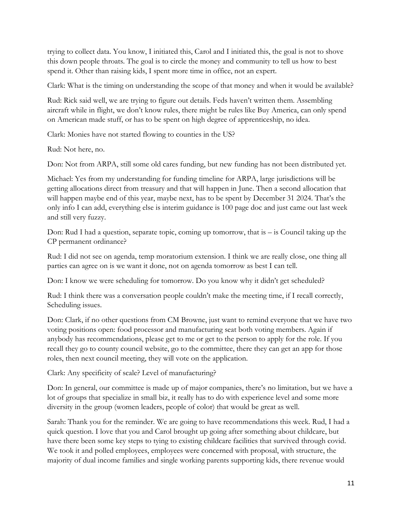trying to collect data. You know, I initiated this, Carol and I initiated this, the goal is not to shove this down people throats. The goal is to circle the money and community to tell us how to best spend it. Other than raising kids, I spent more time in office, not an expert.

Clark: What is the timing on understanding the scope of that money and when it would be available?

Rud: Rick said well, we are trying to figure out details. Feds haven't written them. Assembling aircraft while in flight, we don't know rules, there might be rules like Buy America, can only spend on American made stuff, or has to be spent on high degree of apprenticeship, no idea.

Clark: Monies have not started flowing to counties in the US?

Rud: Not here, no.

Don: Not from ARPA, still some old cares funding, but new funding has not been distributed yet.

Michael: Yes from my understanding for funding timeline for ARPA, large jurisdictions will be getting allocations direct from treasury and that will happen in June. Then a second allocation that will happen maybe end of this year, maybe next, has to be spent by December 31 2024. That's the only info I can add, everything else is interim guidance is 100 page doc and just came out last week and still very fuzzy.

Don: Rud I had a question, separate topic, coming up tomorrow, that is – is Council taking up the CP permanent ordinance?

Rud: I did not see on agenda, temp moratorium extension. I think we are really close, one thing all parties can agree on is we want it done, not on agenda tomorrow as best I can tell.

Don: I know we were scheduling for tomorrow. Do you know why it didn't get scheduled?

Rud: I think there was a conversation people couldn't make the meeting time, if I recall correctly, Scheduling issues.

Don: Clark, if no other questions from CM Browne, just want to remind everyone that we have two voting positions open: food processor and manufacturing seat both voting members. Again if anybody has recommendations, please get to me or get to the person to apply for the role. If you recall they go to county council website, go to the committee, there they can get an app for those roles, then next council meeting, they will vote on the application.

Clark: Any specificity of scale? Level of manufacturing?

Don: In general, our committee is made up of major companies, there's no limitation, but we have a lot of groups that specialize in small biz, it really has to do with experience level and some more diversity in the group (women leaders, people of color) that would be great as well.

Sarah: Thank you for the reminder. We are going to have recommendations this week. Rud, I had a quick question. I love that you and Carol brought up going after something about childcare, but have there been some key steps to tying to existing childcare facilities that survived through covid. We took it and polled employees, employees were concerned with proposal, with structure, the majority of dual income families and single working parents supporting kids, there revenue would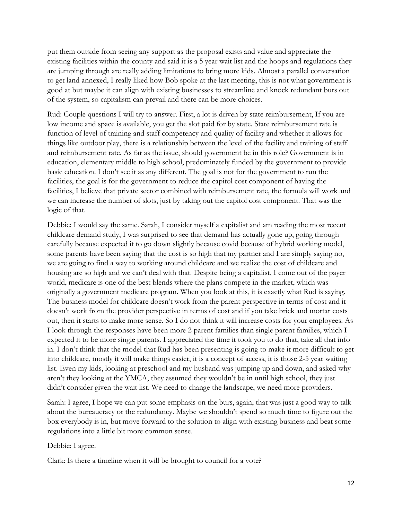put them outside from seeing any support as the proposal exists and value and appreciate the existing facilities within the county and said it is a 5 year wait list and the hoops and regulations they are jumping through are really adding limitations to bring more kids. Almost a parallel conversation to get land annexed, I really liked how Bob spoke at the last meeting, this is not what government is good at but maybe it can align with existing businesses to streamline and knock redundant burs out of the system, so capitalism can prevail and there can be more choices.

Rud: Couple questions I will try to answer. First, a lot is driven by state reimbursement, If you are low income and space is available, you get the slot paid for by state. State reimbursement rate is function of level of training and staff competency and quality of facility and whether it allows for things like outdoor play, there is a relationship between the level of the facility and training of staff and reimbursement rate. As far as the issue, should government be in this role? Government is in education, elementary middle to high school, predominately funded by the government to provide basic education. I don't see it as any different. The goal is not for the government to run the facilities, the goal is for the government to reduce the capitol cost component of having the facilities, I believe that private sector combined with reimbursement rate, the formula will work and we can increase the number of slots, just by taking out the capitol cost component. That was the logic of that.

Debbie: I would say the same. Sarah, I consider myself a capitalist and am reading the most recent childcare demand study, I was surprised to see that demand has actually gone up, going through carefully because expected it to go down slightly because covid because of hybrid working model, some parents have been saying that the cost is so high that my partner and I are simply saying no, we are going to find a way to working around childcare and we realize the cost of childcare and housing are so high and we can't deal with that. Despite being a capitalist, I come out of the payer world, medicare is one of the best blends where the plans compete in the market, which was originally a government medicare program. When you look at this, it is exactly what Rud is saying. The business model for childcare doesn't work from the parent perspective in terms of cost and it doesn't work from the provider perspective in terms of cost and if you take brick and mortar costs out, then it starts to make more sense. So I do not think it will increase costs for your employees. As I look through the responses have been more 2 parent families than single parent families, which I expected it to be more single parents. I appreciated the time it took you to do that, take all that info in. I don't think that the model that Rud has been presenting is going to make it more difficult to get into childcare, mostly it will make things easier, it is a concept of access, it is those 2-5 year waiting list. Even my kids, looking at preschool and my husband was jumping up and down, and asked why aren't they looking at the YMCA, they assumed they wouldn't be in until high school, they just didn't consider given the wait list. We need to change the landscape, we need more providers.

Sarah: I agree, I hope we can put some emphasis on the burs, again, that was just a good way to talk about the bureaucracy or the redundancy. Maybe we shouldn't spend so much time to figure out the box everybody is in, but move forward to the solution to align with existing business and beat some regulations into a little bit more common sense.

Debbie: I agree.

Clark: Is there a timeline when it will be brought to council for a vote?